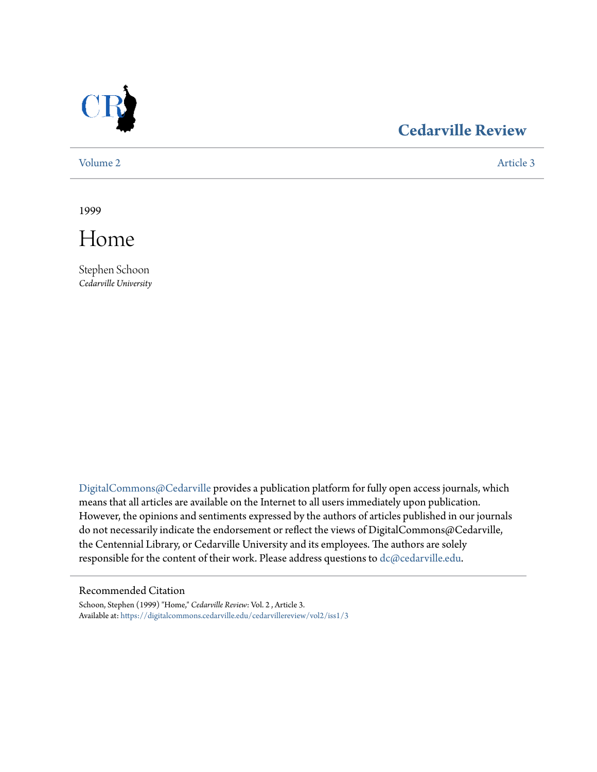

# **[Cedarville Review](https://digitalcommons.cedarville.edu/cedarvillereview?utm_source=digitalcommons.cedarville.edu%2Fcedarvillereview%2Fvol2%2Fiss1%2F3&utm_medium=PDF&utm_campaign=PDFCoverPages)**

[Volume 2](https://digitalcommons.cedarville.edu/cedarvillereview/vol2?utm_source=digitalcommons.cedarville.edu%2Fcedarvillereview%2Fvol2%2Fiss1%2F3&utm_medium=PDF&utm_campaign=PDFCoverPages) [Article 3](https://digitalcommons.cedarville.edu/cedarvillereview/vol2/iss1/3?utm_source=digitalcommons.cedarville.edu%2Fcedarvillereview%2Fvol2%2Fiss1%2F3&utm_medium=PDF&utm_campaign=PDFCoverPages)

1999



Stephen Schoon *Cedarville University*

[DigitalCommons@Cedarville](http://digitalcommons.cedarville.edu) provides a publication platform for fully open access journals, which means that all articles are available on the Internet to all users immediately upon publication. However, the opinions and sentiments expressed by the authors of articles published in our journals do not necessarily indicate the endorsement or reflect the views of DigitalCommons@Cedarville, the Centennial Library, or Cedarville University and its employees. The authors are solely responsible for the content of their work. Please address questions to [dc@cedarville.edu](mailto:dc@cedarville.edu).

#### Recommended Citation

Schoon, Stephen (1999) "Home," *Cedarville Review*: Vol. 2 , Article 3. Available at: [https://digitalcommons.cedarville.edu/cedarvillereview/vol2/iss1/3](https://digitalcommons.cedarville.edu/cedarvillereview/vol2/iss1/3?utm_source=digitalcommons.cedarville.edu%2Fcedarvillereview%2Fvol2%2Fiss1%2F3&utm_medium=PDF&utm_campaign=PDFCoverPages)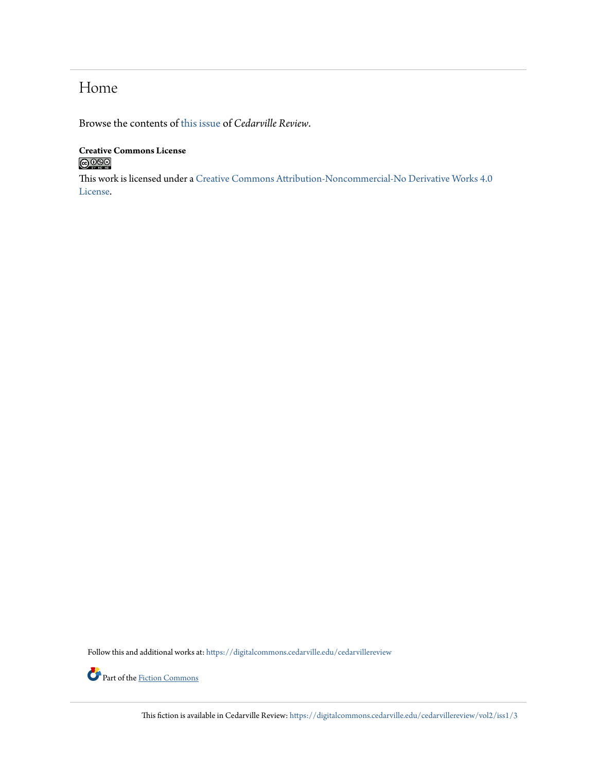# Home

Browse the contents of [this issue](https://digitalcommons.cedarville.edu/cedarvillereview/vol2/iss1) of *Cedarville Review*.

#### **Creative Commons License**  $\bigcirc$  000

This work is licensed under a [Creative Commons Attribution-Noncommercial-No Derivative Works 4.0](http://creativecommons.org/licenses/by-nc-nd/4.0/) [License.](http://creativecommons.org/licenses/by-nc-nd/4.0/)

Follow this and additional works at: [https://digitalcommons.cedarville.edu/cedarvillereview](https://digitalcommons.cedarville.edu/cedarvillereview?utm_source=digitalcommons.cedarville.edu%2Fcedarvillereview%2Fvol2%2Fiss1%2F3&utm_medium=PDF&utm_campaign=PDFCoverPages)



This fiction is available in Cedarville Review: [https://digitalcommons.cedarville.edu/cedarvillereview/vol2/iss1/3](https://digitalcommons.cedarville.edu/cedarvillereview/vol2/iss1/3?utm_source=digitalcommons.cedarville.edu%2Fcedarvillereview%2Fvol2%2Fiss1%2F3&utm_medium=PDF&utm_campaign=PDFCoverPages)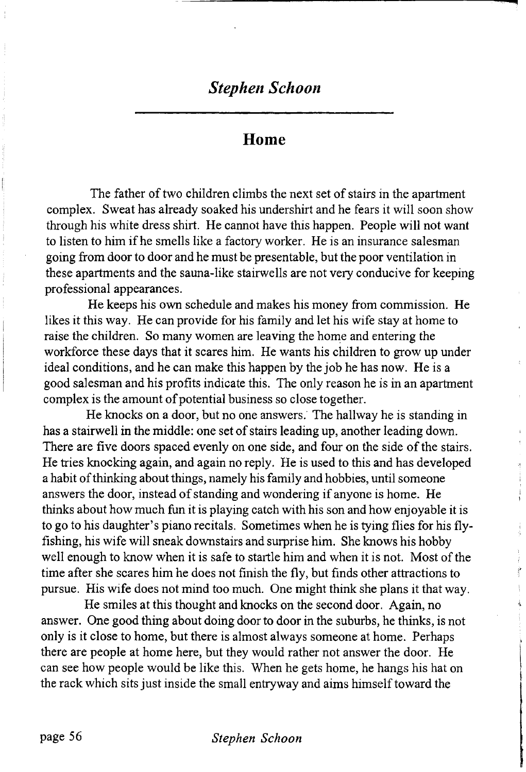### *Stephen Schoon*

#### **Home**

The father of two children climbs the next set of stairs in the apartment complex. Sweat has already soaked his undershirt and he fears it will soon show through his white dress shirt. He cannot have this happen. People will not want to listen to him if he smells like a factory worker. He is an insurance salesman going from door to door and he must be presentable, but the poor ventilation in these apartments and the sauna-like stairwells are not very conducive for keeping professional appearances.

He keeps his own schedule and makes his money from commission. He likes it this way. He can provide for his family and let his wife stay at home to raise the children. So many women are leaving the home and entering the workforce these days that it scares him. He wants his children to grow up under ideal conditions, and he can make this happen by the job he has now. He is a good salesman and his profits indicate this. The only reason he is in an apartment complex is the amount of potential business so close together.

He knocks on a door, but no one answers. The hallway he is standing in has a stairwell in the middle: one set of stairs leading up, another leading down. There are five doors spaced evenly on one side, and four on the side of the stairs. He tries knocking again, and again no reply. He is used to this and has developed a habit of thinking about things, namely his family and hobbies, until someone answers the door, instead of standing and wondering if anyone is home. He thinks about how much fun it is playing catch with his son and how enjoyable it is to go to his daughter's piano recitals. Sometimes when he is tying flies for his flyfishing, his wife will sneak downstairs and surprise him. She knows his hobby well enough to know when it is safe to startle him and when it is not. Most of the time after she scares him he does not finish the fly, but finds other attractions to pursue. His wife does not mind too much. One might think she plans it that way.

He smiles at this thought and knocks on the second door. Again, no answer. One good thing about doing door to door in the suburbs, he thinks, is not only is it close to home, but there is almost always someone at home. Perhaps there are people at home here, but they would rather not answer the door. He can see how people would be like this. When he gets home, he hangs his hat on the rack which sits just inside the small entry way and aims himself toward the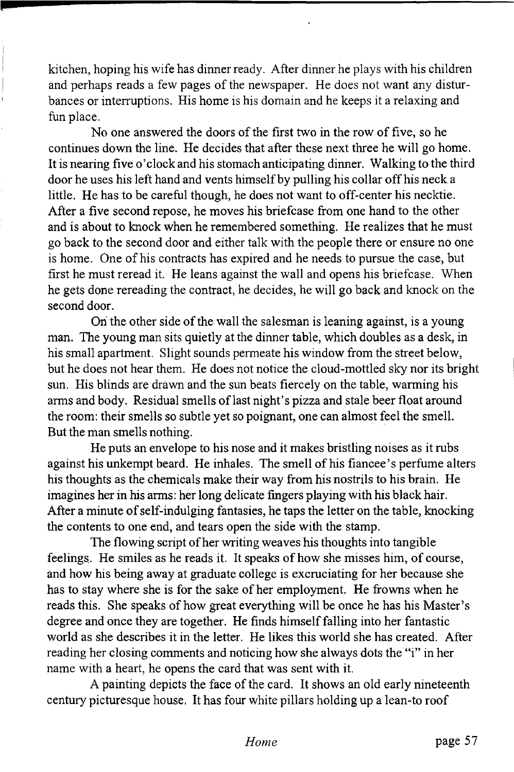kitchen, hoping his wife has dinner ready. After dinner he plays with his children and perhaps reads a few pages of the newspaper. He does not want any disturbances or interruptions. His home is his domain and he keeps it a relaxing and fun place.

No one answered the doors of the first two in the row of five, so he continues down the line. He decides that after these next three he will go home. It is nearing five o'clock and his stomach anticipating dinner. Walking to the third door he uses his left hand and vents himself by pulling his collar off his neck a little. He has to be careful though, he does not want to off-center his necktie. After a five second repose, he moves his briefcase from one hand to the other and is about to knock when he remembered something. He realizes that he must go back to the second door and either talk with the people there or ensure no one is home. One of his contracts has expired and he needs to pursue the case, but first he must reread it. He leans against the wall and opens his briefcase. When he gets done rereading the contract, he decides, he will go back and knock on the second door.

On the other side of the wall the salesman is leaning against, is a young man. The young man sits quietly at the dinner table, which doubles as a desk, in his small apartment. Slight sounds permeate his window from the street below, but he does not hear them. He does not notice the cloud-mottled sky nor its bright sun. His blinds are drawn and the sun beats fiercely on the table, warming his arms and body. Residual smells of last night's pizza and stale beer float around the room: their smells so subtle yet so poignant, one can almost feel the smell. But the man smells nothing.

He puts an envelope to his nose and it makes bristling noises as it rubs against his unkempt beard. He inhales. The smell of his fiancee's perfume alters his thoughts as the chemicals make their way from his nostrils to his brain. He imagines her in his arms: her long delicate fingers playing with his black hair. After a minute of self-indulging fantasies, he taps the letter on the table, knocking the contents to one end, and tears open the side with the stamp.

The flowing script of her writing weaves his thoughts into tangible feelings. He smiles as he reads it. It speaks of how she misses him, of course, and how his being away at graduate college is excruciating for her because she has to stay where she is for the sake of her employment. He frowns when he reads this. She speaks of how great everything will be once he has his Master's degree and once they are together. He finds himself falling into her fantastic world as she describes it in the letter. He likes this world she has created. After reading her closing comments and noticing how she always dots the "i" in her name with a heart, he opens the card that was sent with it.

A painting depicts the face of the card. It shows an old early nineteenth century picturesque house. It has four white pillars holding up a lean-to roof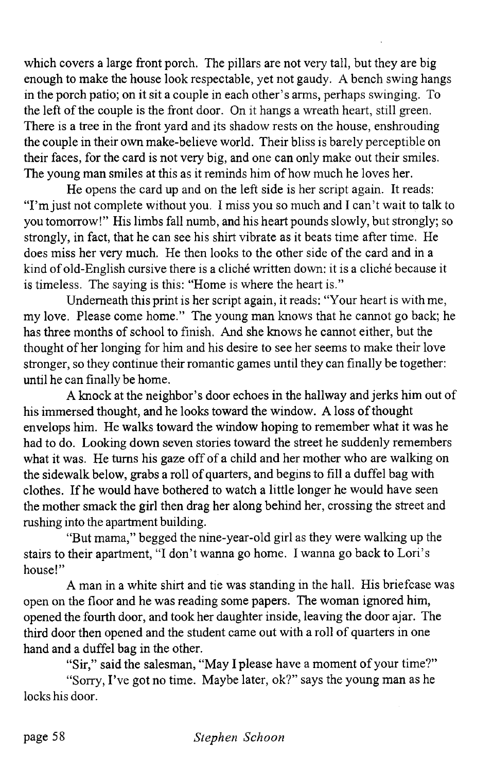which covers a large front porch. The pillars are not very tall, but they are big enough to make the house look respectable, yet not gaudy. A bench swing hangs in the porch patio; on it sit a couple in each other's arms, perhaps swinging. To the left of the couple is the front door. On it hangs a wreath heart, still green. There is a tree in the front yard and its shadow rests on the house, enshrouding the couple in their own make-believe world. Their bliss is barely perceptible on their faces, for the card is not very big, and one can only make out their smiles. The young man smiles at this as it reminds him of how much he loves her.

He opens the card up and on the left side is her script again. It reads: "I'm just not complete without you. I miss you so much and I can't wait to talk to you tomorrow!" His limbs fall numb, and his heart pounds slowly, but strongly; so strongly, in fact, that he can see his shirt vibrate as it beats time after time. He does miss her very much. He then looks to the other side of the card and in a kind of old-English cursive there is a cliche written down: it is a cliche because it is timeless. The saying is this: "Home is where the heart is."

Underneath this print is her script again, it reads: "Your heart is with me, my love. Please come home." The young man knows that he cannot go back; he has three months of school to finish. And she knows he cannot either, but the thought of her longing for him and his desire to see her seems to make their love stronger, so they continue their romantic games until they can finally be together: until he can finally be home.

A knock at the neighbor's door echoes in the hallway and jerks him out of his immersed thought, and he looks toward the window. A loss of thought envelops him. He walks toward the window hoping to remember what it was he had to do. Looking down seven stories toward the street he suddenly remembers what it was. He turns his gaze off of a child and her mother who are walking on the sidewalk below, grabs a roll of quarters, and begins to fill a duffel bag with clothes. If he would have bothered to watch a little longer he would have seen the mother smack the girl then drag her along behind her, crossing the street and rushing into the apartment building.

"But mama," begged the nine-year-old girl as they were walking up the stairs to their apartment, "I don't wanna go home. I wanna go back to Lori's house!"

A man in a white shirt and tie was standing in the hall. His briefcase was open on the floor and he was reading some papers. The woman ignored him, opened the fourth door, and took her daughter inside, leaving the door ajar. The third door then opened and the student came out with a roll of quarters in one hand and a duffel bag in the other.

"Sir," said the salesman, "May I please have a moment of your time?"

"Sorry, I've got no time. Maybe later, ok?" says the young man as he locks his door.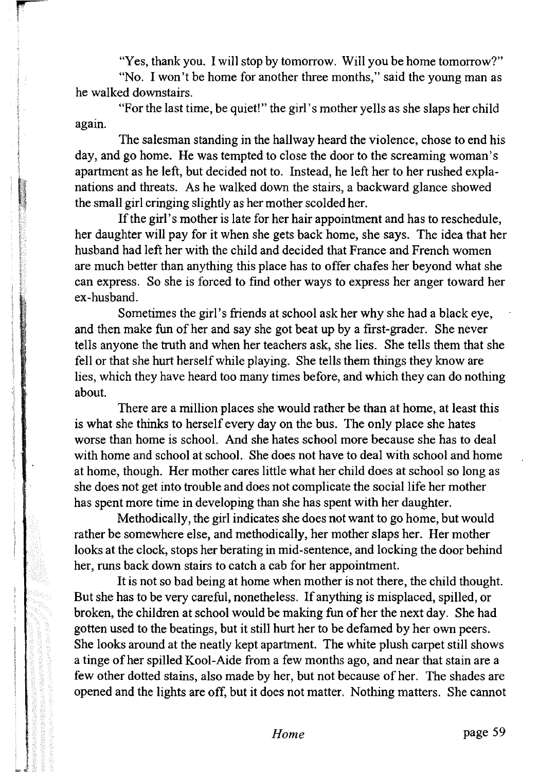"Yes, thank you. I will stop by tomorrow. Will you be home tomorrow?"

"No. I won't be home for another three months," said the young man as he walked downstairs.

"For the last time, be quiet!" the girl's mother yells as she slaps her child again.

The salesman standing in the hallway heard the violence, chose to end his day, and go home. He was tempted to close the door to the screaming woman's apartment as he left, but decided not to. Instead, he left her to her rushed explanations and threats. As he walked down the stairs, a backward glance showed the small girl cringing slightly as her mother scolded her.

If the girl's mother is late for her hair appointment and has to reschedule, her daughter will pay for it when she gets back home, she says. The idea that her husband had left her with the child and decided that France and French women are much better than anything this place has to offer chafes her beyond what she can express. So she is forced to find other ways to express her anger toward her ex-husband.

Sometimes the girl's friends at school ask her why she had a black eye, and then make fun of her and say she got beat up by a first-grader. She never tells anyone the truth and when her teachers ask, she lies. She tells them that she fell or that she hurt herself while playing. She tells them things they know are lies, which they have heard too many times before, and which they can do nothing about.

There are a million places she would rather be than at home, at least this is what she thinks to herself every day on the bus. The only place she hates worse than home is school. And she hates school more because she has to deal with home and school at school. She does not have to deal with school and home at home, though. Her mother cares little what her child does at school so long as she does not get into trouble and does not complicate the social life her mother has spent more time in developing than she has spent with her daughter.

Methodically, the girl indicates she does not want to go home, but would rather be somewhere else, and methodically, her mother slaps her. Her mother looks at the clock, stops her berating in mid-sentence, and locking the door behind her, runs back down stairs to catch a cab for her appointment.

It is not so bad being at home when mother is not there, the child thought. But she has to be very careful, nonetheless. If anything is misplaced, spilled, or broken, the children at school would be making fun of her the next day. She had gotten used to the beatings, but it still hurt her to be defamed by her own peers. She looks around at the neatly kept apartment. The white plush carpet still shows a tinge of her spilled Kool-Aide from a few months ago, and near that stain are a few other dotted stains, also made by her, but not because of her. The shades are opened and the lights are off, but it does not matter. Nothing matters. She cannot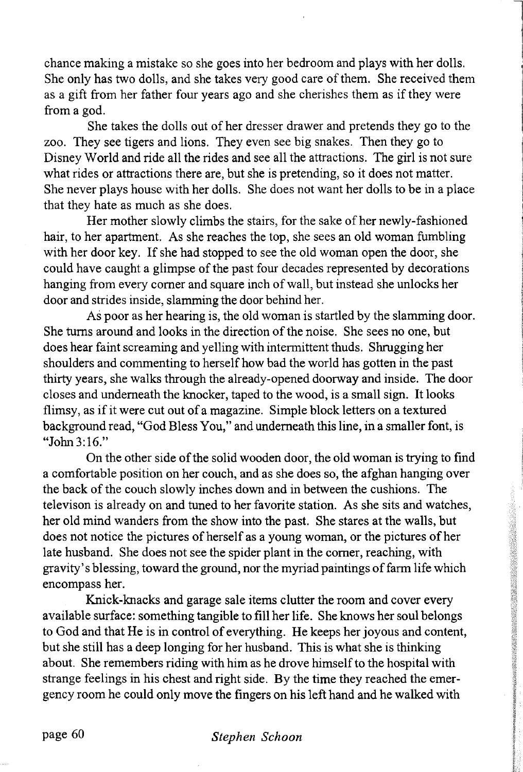chance making a mistake so she goes into her bedroom and plays with her dolls. She only has two dolls, and she takes very good care of them. She received them as a gift from her father four years ago and she cherishes them as if they were from a god.

She takes the dolls out of her dresser drawer and pretends they go to the zoo. They see tigers and lions. They even see big snakes. Then they go to Disney World and ride all the rides and see all the attractions. The girl is not sure what rides or attractions there are, but she is pretending, so it does not matter. She never plays house with her dolls. She does not want her dolls to be in a place that they hate as much as she does.

Her mother slowly climbs the stairs, for the sake of her newly-fashioned hair, to her apartment. As she reaches the top, she sees an old woman fumbling with her door key. If she had stopped to see the old woman open the door, she could have caught a glimpse of the past four decades represented by decorations hanging from every comer and square inch of wall, but instead she unlocks her door and strides inside, slamming the door behind her.

As poor as her hearing is, the old woman is startled by the slamming door. She turns around and looks in the direction of the noise. She sees no one, but does hear faint screaming and yelling with intermittent thuds. Shrugging her shoulders and commenting to herself how bad the world has gotten in the past thirty years, she walks through the already-opened doorway and inside. The door closes and underneath the knocker, taped to the wood, is a small sign. It looks flimsy, as if it were cut out of a magazine. Simple block letters on a textured background read, "God Bless You," and underneath this line, in a smaller font, is "John 3:16."

On the other side of the solid wooden door, the old woman is trying to find a comfortable position on her couch, and as she does so, the afghan hanging over the back of the couch slowly inches down and in between the cushions. The televison is already on and tuned to her favorite station. As she sits and watches, her old mind wanders from the show into the past. She stares at the walls, but does not notice the pictures of herself as a young woman, or the pictures of her late husband. She does not see the spider plant in the comer, reaching, with gravity's blessing, toward the ground, nor the myriad paintings of farm life which encompass her.

Knick-knacks and garage sale items clutter the room and cover every available surface: something tangible to fill her life. She knows her soul belongs to God and that He is in control of everything. He keeps her joyous and content, but she still has a deep longing for her husband. This is what she is thinking about. She remembers riding with him as he drove himself to the hospital with strange feelings in his chest and right side. By the time they reached the emergency room he could only move the fingers on his left hand and he walked with

### page 60 *Stephen Schoon*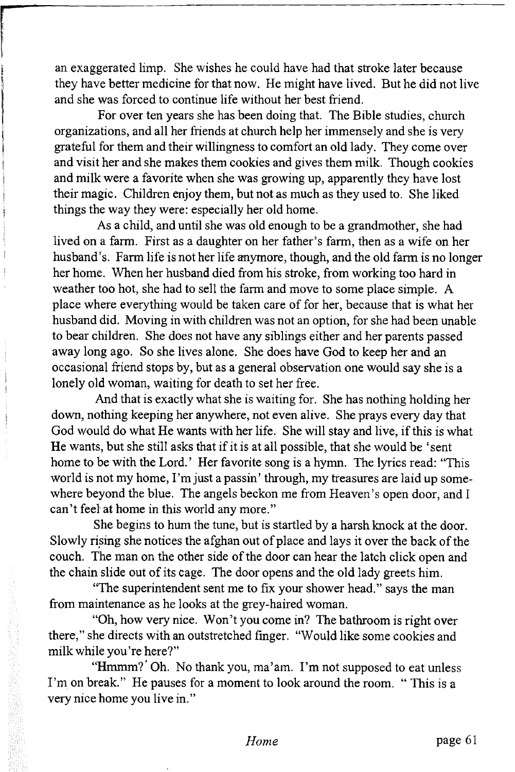an exaggerated limp. She wishes he could have had that stroke later because they have better medicine for that now. He might have lived. But he did not live and she was forced to continue life without her best friend.

For over ten years she has been doing that. The Bible studies, church organizations, and all her friends at church help her immensely and she is very grateful for them and their willingness to comfort an old lady. They come over and visit her and she makes them cookies and gives them milk. Though cookies and milk were a favorite when she was growing up, apparently they have lost their magic. Children enjoy them, but not as much as they used to. She liked things the way they were: especially her old home.

As a child, and until she was old enough to be a grandmother, she had lived on a farm. First as a daughter on her father's farm, then as a wife on her husband's. Farm life is not her life anymore, though, and the old farm is no longer her home. When her husband died from his stroke, from working too hard in weather too hot, she had to sell the farm and move to some place simple. A place where everything would be taken care of for her, because that is what her husband did. Moving in with children was not an option, for she had been unable to bear children. She does not have any siblings either and her parents passed away long ago. So she lives alone. She does have God to keep her and an occasional friend stops by, but as a general observation one would say she is a lonely old woman, waiting for death to set her free.

And that is exactly what she is waiting for. She has nothing holding her down, nothing keeping her anywhere, not even alive. She prays every day that God would do what He wants with her life. She will stay and live, if this is what He wants, but she still asks that if it is at all possible, that she would be 'sent home to be with the Lord.' Her favorite song is a hymn. The lyrics read: "This world is not my home, I'm just a passin' through, my treasures are laid up somewhere beyond the blue. The angels beckon me from Heaven's open door, and I can't feel at home in this world any more."

She begins to hum the tune, but is startled by a harsh knock at the door. Slowly rising she notices the afghan out of place and lays it over the back of the couch. The man on the other side of the door can hear the latch click open and the chain slide out of its cage. The door opens and the old lady greets him.

"The superintendent sent me to fix your shower head." says the man from maintenance as he looks at the grey-haired woman.

"Oh, how very nice. Won't you come in? The bathroom is right over there," she directs with an outstretched finger. "Would like some cookies and milk while you're here?"

"Hmmm?' Oh. No thank you, ma'am. I'm not supposed to eat unless I'm on break." He pauses for a moment to look around the room. "This is a very nice home you live in."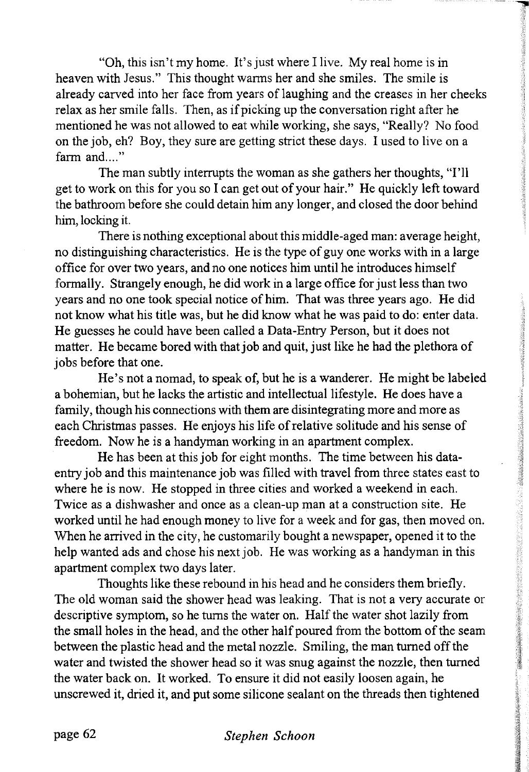"Oh, this isn't my home. It's just where I live. My real home is in heaven with Jesus." This thought warms her and she smiles. The smile is already carved into her face from years of laughing and the creases in her cheeks relax as her smile falls. Then, as if picking up the conversation right after he mentioned he was not allowed to eat while working, she says, "Really? No food on the job, eh? Boy, they sure are getting strict these days. I used to live on a farm and...."

The man subtly interrupts the woman as she gathers her thoughts, "I'll get to work on this for you so I can get out of your hair." He quickly left toward the bathroom before she could detain him any longer, and closed the door behind him, locking it.

There is nothing exceptional about this middle-aged man: average height, no distinguishing characteristics. He is the type of guy one works with in a large office for over two years, and no one notices him until he introduces himself formally. Strangely enough, he did work in a large office for just less than two years and no one took special notice of him. That was three years ago. He did not know what his title was, but he did know what he was paid to do: enter data. He guesses he could have been called a Data-Entry Person, but it does not matter. He became bored with that job and quit, just like he had the plethora of jobs before that one.

He's not a nomad, to speak of, but he is a wanderer. He might be labeled a bohemian, but he lacks the artistic and intellectual lifestyle. He does have a family, though his connections with them are disintegrating more and more as each Christmas passes. He enjoys his life of relative solitude and his sense of freedom. Now he is a handyman working in an apartment complex.

He has been at this job for eight months. The time between his dataentry job and this maintenance job was filled with travel from three states east to where he is now. He stopped in three cities and worked a weekend in each. Twice as a dishwasher and once as a clean-up man at a construction site. He worked until he had enough money to live for a week and for gas, then moved on. When he arrived in the city, he customarily bought a newspaper, opened it to the help wanted ads and chose his next job. He was working as a handyman in this apartment complex two days later.

Thoughts like these rebound in his head and he considers them briefly. The old woman said the shower head was leaking. That is not a very accurate or descriptive symptom, so he turns the water on. Half the water shot lazily from the small holes in the head, and the other half poured from the bottom of the seam between the plastic head and the metal nozzle. Smiling, the man turned off the water and twisted the shower head so it was snug against the nozzle, then turned the water back on. It worked. To ensure it did not easily loosen again, he unscrewed it, dried it, and put some silicone sealant on the threads then tightened